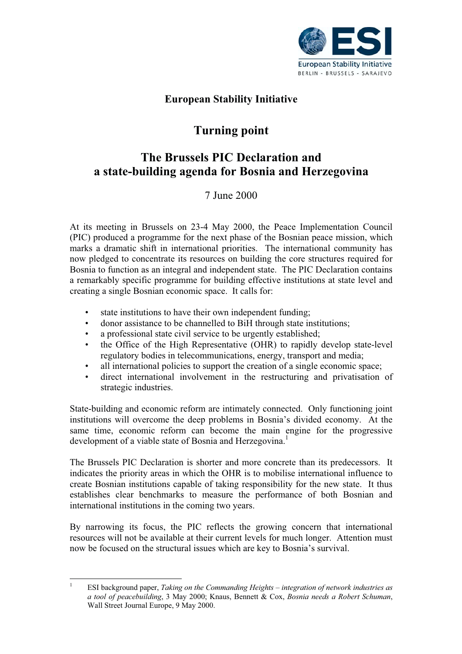

## **European Stability Initiative**

# **Turning point**

## **The Brussels PIC Declaration and a state-building agenda for Bosnia and Herzegovina**

7 June 2000

At its meeting in Brussels on 23-4 May 2000, the Peace Implementation Council (PIC) produced a programme for the next phase of the Bosnian peace mission, which marks a dramatic shift in international priorities. The international community has now pledged to concentrate its resources on building the core structures required for Bosnia to function as an integral and independent state. The PIC Declaration contains a remarkably specific programme for building effective institutions at state level and creating a single Bosnian economic space. It calls for:

- state institutions to have their own independent funding;
- donor assistance to be channelled to BiH through state institutions;
- a professional state civil service to be urgently established;
- the Office of the High Representative (OHR) to rapidly develop state-level regulatory bodies in telecommunications, energy, transport and media;
- all international policies to support the creation of a single economic space;
- direct international involvement in the restructuring and privatisation of strategic industries.

State-building and economic reform are intimately connected. Only functioning joint institutions will overcome the deep problems in Bosnia's divided economy. At the same time, economic reform can become the main engine for the progressive development of a viable state of Bosnia and Herzegovina.<sup>1</sup>

The Brussels PIC Declaration is shorter and more concrete than its predecessors. It indicates the priority areas in which the OHR is to mobilise international influence to create Bosnian institutions capable of taking responsibility for the new state. It thus establishes clear benchmarks to measure the performance of both Bosnian and international institutions in the coming two years.

By narrowing its focus, the PIC reflects the growing concern that international resources will not be available at their current levels for much longer. Attention must now be focused on the structural issues which are key to Bosnia's survival.

<sup>1</sup> ESI background paper, *Taking on the Commanding Heights – integration of network industries as a tool of peacebuilding*, 3 May 2000; Knaus, Bennett & Cox, *Bosnia needs a Robert Schuman*, Wall Street Journal Europe, 9 May 2000.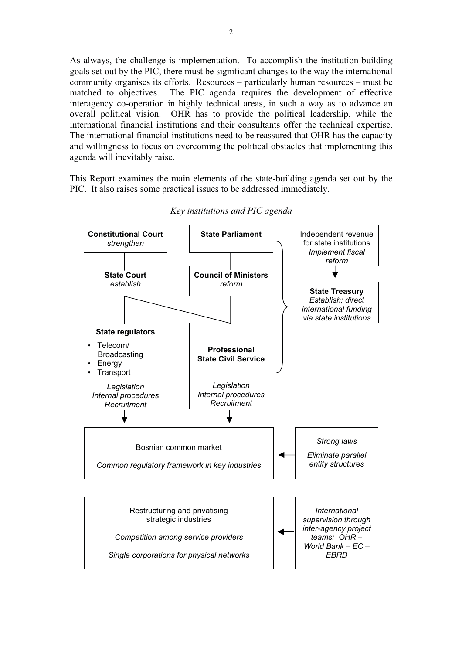As always, the challenge is implementation. To accomplish the institution-building goals set out by the PIC, there must be significant changes to the way the international community organises its efforts. Resources – particularly human resources – must be matched to objectives. The PIC agenda requires the development of effective interagency co-operation in highly technical areas, in such a way as to advance an overall political vision. OHR has to provide the political leadership, while the international financial institutions and their consultants offer the technical expertise. The international financial institutions need to be reassured that OHR has the capacity and willingness to focus on overcoming the political obstacles that implementing this agenda will inevitably raise.

This Report examines the main elements of the state-building agenda set out by the PIC. It also raises some practical issues to be addressed immediately.



*Key institutions and PIC agenda*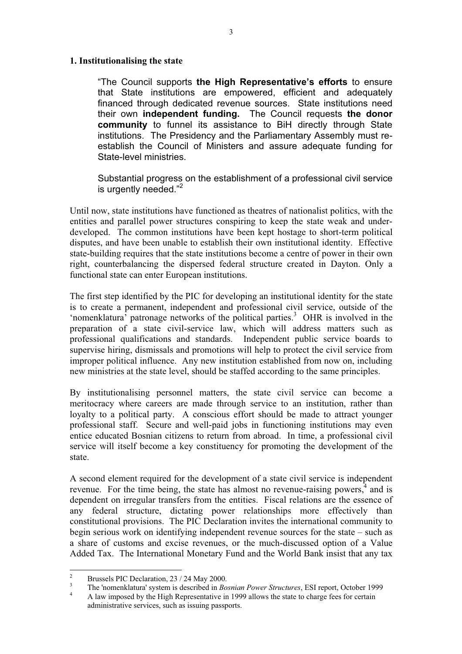#### **1. Institutionalising the state**

"The Council supports **the High Representative's efforts** to ensure that State institutions are empowered, efficient and adequately financed through dedicated revenue sources. State institutions need their own **independent funding.** The Council requests **the donor community** to funnel its assistance to BiH directly through State institutions. The Presidency and the Parliamentary Assembly must reestablish the Council of Ministers and assure adequate funding for State-level ministries.

Substantial progress on the establishment of a professional civil service is urgently needed."<sup>2</sup>

Until now, state institutions have functioned as theatres of nationalist politics, with the entities and parallel power structures conspiring to keep the state weak and underdeveloped. The common institutions have been kept hostage to short-term political disputes, and have been unable to establish their own institutional identity. Effective state-building requires that the state institutions become a centre of power in their own right, counterbalancing the dispersed federal structure created in Dayton. Only a functional state can enter European institutions.

The first step identified by the PIC for developing an institutional identity for the state is to create a permanent, independent and professional civil service, outside of the 'nomenklatura' patronage networks of the political parties.<sup>3</sup> OHR is involved in the preparation of a state civil-service law, which will address matters such as professional qualifications and standards. Independent public service boards to supervise hiring, dismissals and promotions will help to protect the civil service from improper political influence. Any new institution established from now on, including new ministries at the state level, should be staffed according to the same principles.

By institutionalising personnel matters, the state civil service can become a meritocracy where careers are made through service to an institution, rather than loyalty to a political party. A conscious effort should be made to attract younger professional staff. Secure and well-paid jobs in functioning institutions may even entice educated Bosnian citizens to return from abroad. In time, a professional civil service will itself become a key constituency for promoting the development of the state.

A second element required for the development of a state civil service is independent revenue. For the time being, the state has almost no revenue-raising powers, $4$  and is dependent on irregular transfers from the entities. Fiscal relations are the essence of any federal structure, dictating power relationships more effectively than constitutional provisions. The PIC Declaration invites the international community to begin serious work on identifying independent revenue sources for the state – such as a share of customs and excise revenues, or the much-discussed option of a Value Added Tax. The International Monetary Fund and the World Bank insist that any tax

<sup>&</sup>lt;sup>2</sup><br>Brussels PIC Declaration, 23 / 24 May 2000.<br>The 'nomenklatura' system is described in *Bosnian Power Structures*, ESI report, October 1999<br>A law imposed by the High Representative in 1999 allows the state to charge fe

administrative services, such as issuing passports.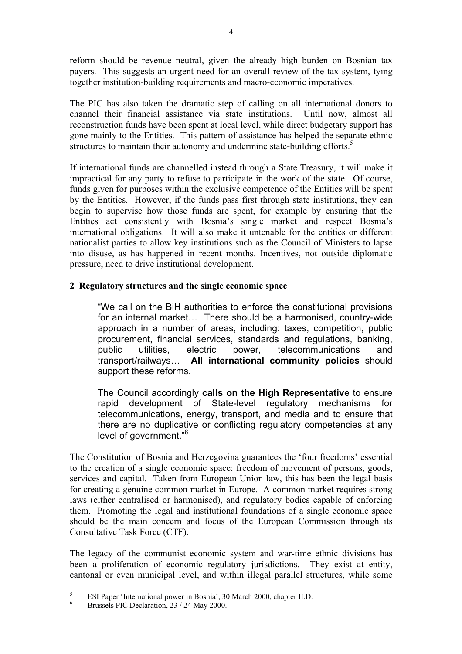reform should be revenue neutral, given the already high burden on Bosnian tax payers. This suggests an urgent need for an overall review of the tax system, tying together institution-building requirements and macro-economic imperatives.

The PIC has also taken the dramatic step of calling on all international donors to channel their financial assistance via state institutions. Until now, almost all reconstruction funds have been spent at local level, while direct budgetary support has gone mainly to the Entities. This pattern of assistance has helped the separate ethnic structures to maintain their autonomy and undermine state-building efforts.<sup>5</sup>

If international funds are channelled instead through a State Treasury, it will make it impractical for any party to refuse to participate in the work of the state. Of course, funds given for purposes within the exclusive competence of the Entities will be spent by the Entities. However, if the funds pass first through state institutions, they can begin to supervise how those funds are spent, for example by ensuring that the Entities act consistently with Bosnia's single market and respect Bosnia's international obligations. It will also make it untenable for the entities or different nationalist parties to allow key institutions such as the Council of Ministers to lapse into disuse, as has happened in recent months. Incentives, not outside diplomatic pressure, need to drive institutional development.

## **2 Regulatory structures and the single economic space**

"We call on the BiH authorities to enforce the constitutional provisions for an internal market… There should be a harmonised, country-wide approach in a number of areas, including: taxes, competition, public procurement, financial services, standards and regulations, banking, public utilities, electric power, telecommunications and transport/railways… **All international community policies** should support these reforms.

The Council accordingly **calls on the High Representativ**e to ensure rapid development of State-level regulatory mechanisms for telecommunications, energy, transport, and media and to ensure that there are no duplicative or conflicting regulatory competencies at any level of government."<sup>6</sup>

The Constitution of Bosnia and Herzegovina guarantees the 'four freedoms' essential to the creation of a single economic space: freedom of movement of persons, goods, services and capital. Taken from European Union law, this has been the legal basis for creating a genuine common market in Europe. A common market requires strong laws (either centralised or harmonised), and regulatory bodies capable of enforcing them. Promoting the legal and institutional foundations of a single economic space should be the main concern and focus of the European Commission through its Consultative Task Force (CTF).

The legacy of the communist economic system and war-time ethnic divisions has been a proliferation of economic regulatory jurisdictions. They exist at entity, cantonal or even municipal level, and within illegal parallel structures, while some

<sup>&</sup>lt;sup>5</sup> ESI Paper 'International power in Bosnia', 30 March 2000, chapter II.D.<br><sup>6</sup> Brussels PIC Declaration, 23 / 24 May 2000.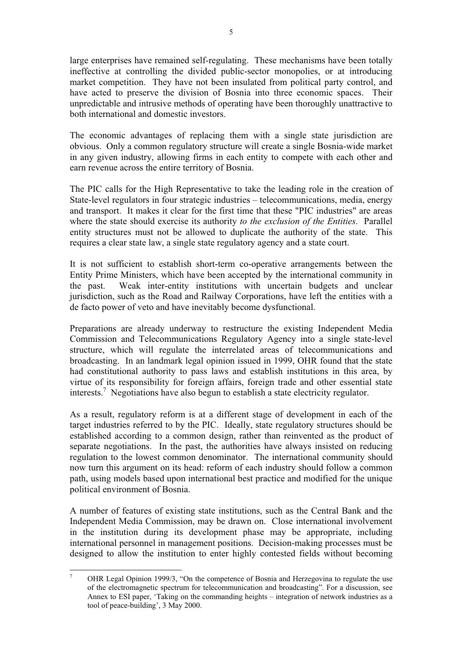large enterprises have remained self-regulating. These mechanisms have been totally ineffective at controlling the divided public-sector monopolies, or at introducing market competition. They have not been insulated from political party control, and have acted to preserve the division of Bosnia into three economic spaces. Their unpredictable and intrusive methods of operating have been thoroughly unattractive to both international and domestic investors.

The economic advantages of replacing them with a single state jurisdiction are obvious. Only a common regulatory structure will create a single Bosnia-wide market in any given industry, allowing firms in each entity to compete with each other and earn revenue across the entire territory of Bosnia.

The PIC calls for the High Representative to take the leading role in the creation of State-level regulators in four strategic industries – telecommunications, media, energy and transport. It makes it clear for the first time that these "PIC industries" are areas where the state should exercise its authority *to the exclusion of the Entities*. Parallel entity structures must not be allowed to duplicate the authority of the state. This requires a clear state law, a single state regulatory agency and a state court.

It is not sufficient to establish short-term co-operative arrangements between the Entity Prime Ministers, which have been accepted by the international community in the past. Weak inter-entity institutions with uncertain budgets and unclear jurisdiction, such as the Road and Railway Corporations, have left the entities with a de facto power of veto and have inevitably become dysfunctional.

Preparations are already underway to restructure the existing Independent Media Commission and Telecommunications Regulatory Agency into a single state-level structure, which will regulate the interrelated areas of telecommunications and broadcasting. In an landmark legal opinion issued in 1999, OHR found that the state had constitutional authority to pass laws and establish institutions in this area, by virtue of its responsibility for foreign affairs, foreign trade and other essential state interests.7 Negotiations have also begun to establish a state electricity regulator.

As a result, regulatory reform is at a different stage of development in each of the target industries referred to by the PIC. Ideally, state regulatory structures should be established according to a common design, rather than reinvented as the product of separate negotiations. In the past, the authorities have always insisted on reducing regulation to the lowest common denominator. The international community should now turn this argument on its head: reform of each industry should follow a common path, using models based upon international best practice and modified for the unique political environment of Bosnia.

A number of features of existing state institutions, such as the Central Bank and the Independent Media Commission, may be drawn on. Close international involvement in the institution during its development phase may be appropriate, including international personnel in management positions. Decision-making processes must be designed to allow the institution to enter highly contested fields without becoming

<sup>&</sup>lt;sup>7</sup> OHR Legal Opinion 1999/3, "On the competence of Bosnia and Herzegovina to regulate the use of the electromagnetic spectrum for telecommunication and broadcasting". For a discussion, see Annex to ESI paper, 'Taking on the commanding heights – integration of network industries as a tool of peace-building', 3 May 2000.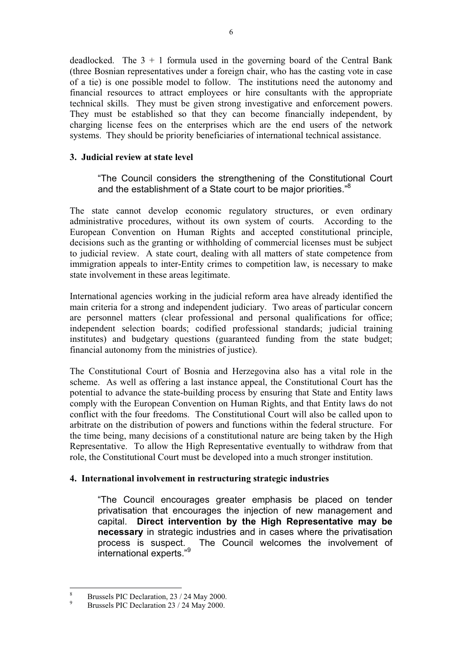deadlocked. The  $3 + 1$  formula used in the governing board of the Central Bank (three Bosnian representatives under a foreign chair, who has the casting vote in case of a tie) is one possible model to follow. The institutions need the autonomy and financial resources to attract employees or hire consultants with the appropriate technical skills. They must be given strong investigative and enforcement powers. They must be established so that they can become financially independent, by charging license fees on the enterprises which are the end users of the network systems. They should be priority beneficiaries of international technical assistance.

### **3. Judicial review at state level**

"The Council considers the strengthening of the Constitutional Court and the establishment of a State court to be major priorities."8

The state cannot develop economic regulatory structures, or even ordinary administrative procedures, without its own system of courts. According to the European Convention on Human Rights and accepted constitutional principle, decisions such as the granting or withholding of commercial licenses must be subject to judicial review. A state court, dealing with all matters of state competence from immigration appeals to inter-Entity crimes to competition law, is necessary to make state involvement in these areas legitimate.

International agencies working in the judicial reform area have already identified the main criteria for a strong and independent judiciary. Two areas of particular concern are personnel matters (clear professional and personal qualifications for office; independent selection boards; codified professional standards; judicial training institutes) and budgetary questions (guaranteed funding from the state budget; financial autonomy from the ministries of justice).

The Constitutional Court of Bosnia and Herzegovina also has a vital role in the scheme. As well as offering a last instance appeal, the Constitutional Court has the potential to advance the state-building process by ensuring that State and Entity laws comply with the European Convention on Human Rights, and that Entity laws do not conflict with the four freedoms. The Constitutional Court will also be called upon to arbitrate on the distribution of powers and functions within the federal structure. For the time being, many decisions of a constitutional nature are being taken by the High Representative. To allow the High Representative eventually to withdraw from that role, the Constitutional Court must be developed into a much stronger institution.

### **4. International involvement in restructuring strategic industries**

"The Council encourages greater emphasis be placed on tender privatisation that encourages the injection of new management and capital. **Direct intervention by the High Representative may be necessary** in strategic industries and in cases where the privatisation process is suspect. The Council welcomes the involvement of international experts."9

<sup>&</sup>lt;sup>8</sup> Brussels PIC Declaration,  $23 / 24$  May 2000.<br>Brussels PIC Declaration  $23 / 24$  May 2000.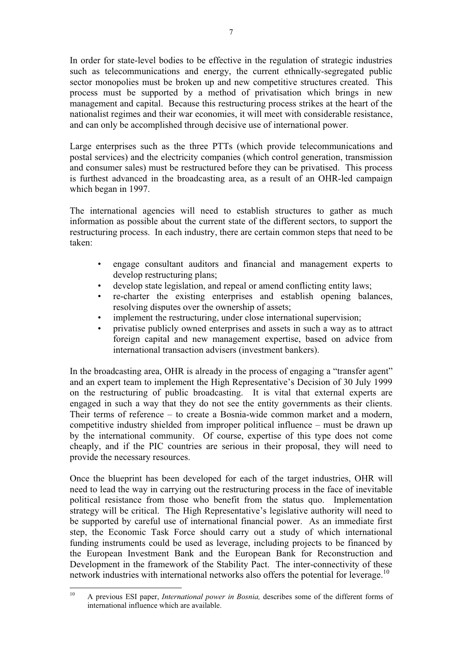In order for state-level bodies to be effective in the regulation of strategic industries such as telecommunications and energy, the current ethnically-segregated public sector monopolies must be broken up and new competitive structures created. This process must be supported by a method of privatisation which brings in new management and capital. Because this restructuring process strikes at the heart of the nationalist regimes and their war economies, it will meet with considerable resistance, and can only be accomplished through decisive use of international power.

Large enterprises such as the three PTTs (which provide telecommunications and postal services) and the electricity companies (which control generation, transmission and consumer sales) must be restructured before they can be privatised. This process is furthest advanced in the broadcasting area, as a result of an OHR-led campaign which began in 1997.

The international agencies will need to establish structures to gather as much information as possible about the current state of the different sectors, to support the restructuring process. In each industry, there are certain common steps that need to be taken:

- engage consultant auditors and financial and management experts to develop restructuring plans;
- develop state legislation, and repeal or amend conflicting entity laws;
- re-charter the existing enterprises and establish opening balances, resolving disputes over the ownership of assets;
- implement the restructuring, under close international supervision;
- privatise publicly owned enterprises and assets in such a way as to attract foreign capital and new management expertise, based on advice from international transaction advisers (investment bankers).

In the broadcasting area, OHR is already in the process of engaging a "transfer agent" and an expert team to implement the High Representative's Decision of 30 July 1999 on the restructuring of public broadcasting. It is vital that external experts are engaged in such a way that they do not see the entity governments as their clients. Their terms of reference – to create a Bosnia-wide common market and a modern, competitive industry shielded from improper political influence – must be drawn up by the international community. Of course, expertise of this type does not come cheaply, and if the PIC countries are serious in their proposal, they will need to provide the necessary resources.

Once the blueprint has been developed for each of the target industries, OHR will need to lead the way in carrying out the restructuring process in the face of inevitable political resistance from those who benefit from the status quo. Implementation strategy will be critical. The High Representative's legislative authority will need to be supported by careful use of international financial power. As an immediate first step, the Economic Task Force should carry out a study of which international funding instruments could be used as leverage, including projects to be financed by the European Investment Bank and the European Bank for Reconstruction and Development in the framework of the Stability Pact. The inter-connectivity of these network industries with international networks also offers the potential for leverage.<sup>10</sup>

<sup>10</sup> A previous ESI paper, *International power in Bosnia,* describes some of the different forms of international influence which are available.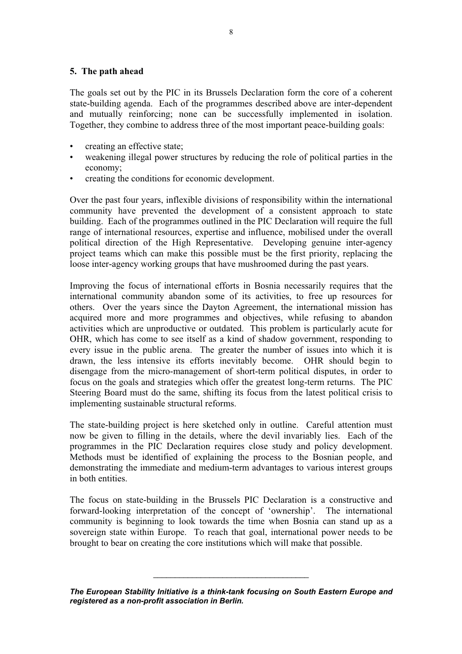#### **5. The path ahead**

The goals set out by the PIC in its Brussels Declaration form the core of a coherent state-building agenda. Each of the programmes described above are inter-dependent and mutually reinforcing; none can be successfully implemented in isolation. Together, they combine to address three of the most important peace-building goals:

- creating an effective state;
- weakening illegal power structures by reducing the role of political parties in the economy;
- creating the conditions for economic development.

Over the past four years, inflexible divisions of responsibility within the international community have prevented the development of a consistent approach to state building. Each of the programmes outlined in the PIC Declaration will require the full range of international resources, expertise and influence, mobilised under the overall political direction of the High Representative. Developing genuine inter-agency project teams which can make this possible must be the first priority, replacing the loose inter-agency working groups that have mushroomed during the past years.

Improving the focus of international efforts in Bosnia necessarily requires that the international community abandon some of its activities, to free up resources for others. Over the years since the Dayton Agreement, the international mission has acquired more and more programmes and objectives, while refusing to abandon activities which are unproductive or outdated. This problem is particularly acute for OHR, which has come to see itself as a kind of shadow government, responding to every issue in the public arena. The greater the number of issues into which it is drawn, the less intensive its efforts inevitably become. OHR should begin to disengage from the micro-management of short-term political disputes, in order to focus on the goals and strategies which offer the greatest long-term returns. The PIC Steering Board must do the same, shifting its focus from the latest political crisis to implementing sustainable structural reforms.

The state-building project is here sketched only in outline. Careful attention must now be given to filling in the details, where the devil invariably lies. Each of the programmes in the PIC Declaration requires close study and policy development. Methods must be identified of explaining the process to the Bosnian people, and demonstrating the immediate and medium-term advantages to various interest groups in both entities.

The focus on state-building in the Brussels PIC Declaration is a constructive and forward-looking interpretation of the concept of 'ownership'. The international community is beginning to look towards the time when Bosnia can stand up as a sovereign state within Europe. To reach that goal, international power needs to be brought to bear on creating the core institutions which will make that possible.

\_\_\_\_\_\_\_\_\_\_\_\_\_\_\_\_\_\_\_\_\_\_\_\_\_\_\_\_\_\_\_\_\_\_\_\_

*The European Stability Initiative is a think-tank focusing on South Eastern Europe and registered as a non-profit association in Berlin.*